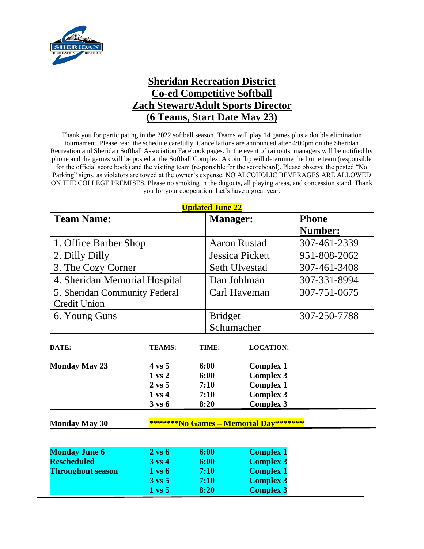

## **Sheridan Recreation District Co-ed Competitive Softball Zach Stewart/Adult Sports Director (6 Teams, Start Date May 23)**

Thank you for participating in the 2022 softball season. Teams will play 14 games plus a double elimination tournament. Please read the schedule carefully. Cancellations are announced after 4:00pm on the Sheridan Recreation and Sheridan Softball Association Facebook pages. In the event of rainouts, managers will be notified by phone and the games will be posted at the Softball Complex. A coin flip will determine the home team (responsible for the official score book) and the visiting team (responsible for the scoreboard). Please observe the posted "No Parking" signs, as violators are towed at the owner's expense. NO ALCOHOLIC BEVERAGES ARE ALLOWED ON THE COLLEGE PREMISES. Please no smoking in the dugouts, all playing areas, and concession stand. Thank you for your cooperation. Let's have a great year.

| <b>Updated June 22</b>                                        |                   |                        |                     |                  |  |  |  |  |  |
|---------------------------------------------------------------|-------------------|------------------------|---------------------|------------------|--|--|--|--|--|
| <b>Team Name:</b>                                             |                   | <b>Manager:</b>        |                     | Phone<br>Number: |  |  |  |  |  |
|                                                               |                   |                        |                     |                  |  |  |  |  |  |
| 1. Office Barber Shop                                         |                   |                        | <b>Aaron Rustad</b> | 307-461-2339     |  |  |  |  |  |
| 2. Dilly Dilly                                                |                   | <b>Jessica Pickett</b> | 951-808-2062        |                  |  |  |  |  |  |
| 3. The Cozy Corner                                            |                   | <b>Seth Ulvestad</b>   | 307-461-3408        |                  |  |  |  |  |  |
| 4. Sheridan Memorial Hospital                                 |                   | Dan Johlman            | 307-331-8994        |                  |  |  |  |  |  |
| 5. Sheridan Community Federal                                 |                   |                        | Carl Haveman        | 307-751-0675     |  |  |  |  |  |
| <b>Credit Union</b>                                           |                   |                        |                     |                  |  |  |  |  |  |
| 6. Young Guns                                                 |                   | <b>Bridget</b>         |                     | 307-250-7788     |  |  |  |  |  |
|                                                               |                   |                        | Schumacher          |                  |  |  |  |  |  |
| DATE:                                                         | <b>TEAMS:</b>     | TIME:                  | <b>LOCATION:</b>    |                  |  |  |  |  |  |
| <b>Monday May 23</b>                                          | $4 \text{ vs } 5$ | 6:00                   | <b>Complex 1</b>    |                  |  |  |  |  |  |
|                                                               | $1 \text{ vs } 2$ | 6:00                   | <b>Complex 3</b>    |                  |  |  |  |  |  |
|                                                               | $2 \text{ vs } 5$ | 7:10                   | <b>Complex 1</b>    |                  |  |  |  |  |  |
|                                                               | $1 \text{ vs } 4$ | 7:10                   | <b>Complex 3</b>    |                  |  |  |  |  |  |
|                                                               | $3 \text{ vs } 6$ | 8:20                   | <b>Complex 3</b>    |                  |  |  |  |  |  |
| *******No Games - Memorial Day*******<br><b>Monday May 30</b> |                   |                        |                     |                  |  |  |  |  |  |
|                                                               |                   |                        |                     |                  |  |  |  |  |  |
| <b>Monday June 6</b>                                          | $2 \text{ vs } 6$ | 6:00                   | <b>Complex 1</b>    |                  |  |  |  |  |  |
| <b>Rescheduled</b>                                            | $3 \text{ vs } 4$ | 6:00                   | <b>Complex 3</b>    |                  |  |  |  |  |  |
| <b>Throughout season</b>                                      | $1 \text{ vs } 6$ | 7:10                   | <b>Complex 1</b>    |                  |  |  |  |  |  |
|                                                               | $3 \text{ vs } 5$ | 7:10                   | <b>Complex 3</b>    |                  |  |  |  |  |  |
|                                                               | $1 \text{ vs } 5$ | 8:20                   | <b>Complex 3</b>    |                  |  |  |  |  |  |

**Updated June 22**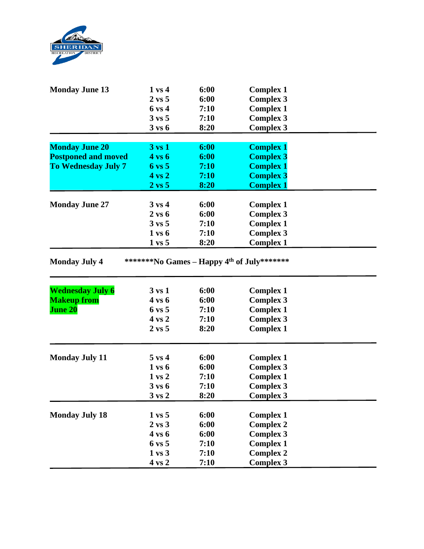

| <b>Monday June 13</b>      | $1 \text{ vs } 4$                      | 6:00         | <b>Complex 1</b>                     |  |
|----------------------------|----------------------------------------|--------------|--------------------------------------|--|
|                            | $2 \text{ vs } 5$                      | 6:00         | <b>Complex 3</b>                     |  |
|                            | 6 vs 4                                 | 7:10         | <b>Complex 1</b>                     |  |
|                            | $3 \text{ vs } 5$                      | 7:10         | <b>Complex 3</b>                     |  |
|                            | $3 \text{ vs } 6$                      | 8:20         | <b>Complex 3</b>                     |  |
|                            |                                        |              |                                      |  |
| <b>Monday June 20</b>      | $3 \text{ vs } 1$                      | 6:00         | <b>Complex 1</b>                     |  |
| <b>Postponed and moved</b> | <b>4 vs 6</b>                          | 6:00         | <b>Complex 3</b>                     |  |
| <b>To Wednesday July 7</b> | $6 \text{ vs } 5$                      | 7:10         | <b>Complex 1</b>                     |  |
|                            | $4 \text{ vs } 2$                      | 7:10         | <b>Complex 3</b>                     |  |
|                            | $2 \text{ vs } 5$                      | 8:20         | <b>Complex 1</b>                     |  |
| <b>Monday June 27</b>      | $3 \text{ vs } 4$                      | 6:00         | <b>Complex 1</b>                     |  |
|                            | $2 \text{ vs } 6$                      | 6:00         | <b>Complex 3</b>                     |  |
|                            | $3 \text{ vs } 5$                      | 7:10         | <b>Complex 1</b>                     |  |
|                            | $1$ vs $6$                             | 7:10         | <b>Complex 3</b>                     |  |
|                            | $1 \text{ vs } 5$                      | 8:20         | <b>Complex 1</b>                     |  |
|                            |                                        |              |                                      |  |
|                            |                                        |              |                                      |  |
| <b>Wednesday July 6</b>    | $3 \text{ vs } 1$<br>4 vs 6            | 6:00<br>6:00 | <b>Complex 1</b>                     |  |
| <b>Makeup from</b>         | $6 \text{ vs } 5$                      | 7:10         | <b>Complex 3</b>                     |  |
| <b>June 20</b>             | 4 vs 2                                 |              | <b>Complex 1</b>                     |  |
|                            | $2 \text{ vs } 5$                      | 7:10<br>8:20 | <b>Complex 3</b>                     |  |
|                            |                                        |              | <b>Complex 1</b>                     |  |
| <b>Monday July 11</b>      | $5 \text{ vs } 4$                      | 6:00         | <b>Complex 1</b>                     |  |
|                            | $1$ vs $6$                             | 6:00         | <b>Complex 3</b>                     |  |
|                            | $1 \text{ vs } 2$                      | 7:10         | <b>Complex 1</b>                     |  |
|                            | $3 \text{ vs } 6$                      | 7:10         | <b>Complex 3</b>                     |  |
|                            | $3 \text{ vs } 2$                      | 8:20         | <b>Complex 3</b>                     |  |
|                            |                                        |              |                                      |  |
| <b>Monday July 18</b>      | $1 \text{ vs } 5$<br>$2 \text{ vs } 3$ | 6:00<br>6:00 | <b>Complex 1</b><br><b>Complex 2</b> |  |
|                            | 4 vs 6                                 | 6:00         | <b>Complex 3</b>                     |  |
|                            | $6 \text{ vs } 5$                      | 7:10         | <b>Complex 1</b>                     |  |
|                            | $1 \text{ vs } 3$                      | 7:10         | <b>Complex 2</b>                     |  |
|                            |                                        | 7:10         | <b>Complex 3</b>                     |  |
|                            | $4 \text{ vs } 2$                      |              |                                      |  |